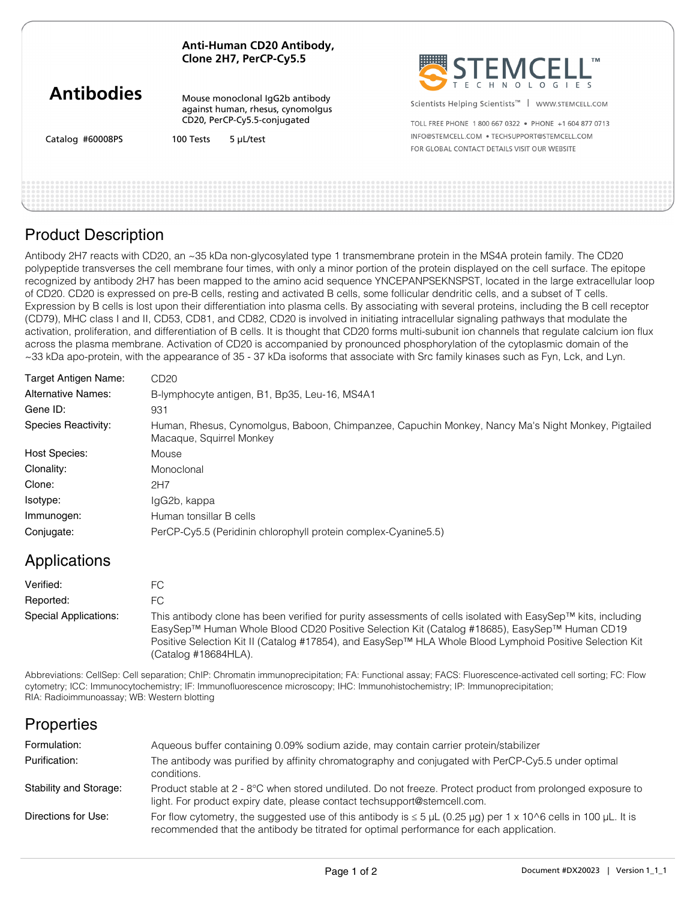| Anti-Human CD20 Antibody, |
|---------------------------|
| Clone 2H7, PerCP-Cy5.5    |

Mouse monoclonal IgG2b antibody against human, rhesus, cynomolgus CD20, PerCP-Cy5.5-conjugated



Scientists Helping Scientists<sup>™</sup> | WWW.STEMCELL.COM

Catalog #60008PS

100 Tests 5 μL/test

TOLL FREE PHONE 1 800 667 0322 · PHONE +1 604 877 0713 INFO@STEMCELL.COM . TECHSUPPORT@STEMCELL.COM FOR GLOBAL CONTACT DETAILS VISIT OUR WERSITE

### Product Description

Antibody 2H7 reacts with CD20, an ~35 kDa non-glycosylated type 1 transmembrane protein in the MS4A protein family. The CD20 polypeptide transverses the cell membrane four times, with only a minor portion of the protein displayed on the cell surface. The epitope recognized by antibody 2H7 has been mapped to the amino acid sequence YNCEPANPSEKNSPST, located in the large extracellular loop of CD20. CD20 is expressed on pre-B cells, resting and activated B cells, some follicular dendritic cells, and a subset of T cells. Expression by B cells is lost upon their differentiation into plasma cells. By associating with several proteins, including the B cell receptor (CD79), MHC class I and II, CD53, CD81, and CD82, CD20 is involved in initiating intracellular signaling pathways that modulate the activation, proliferation, and differentiation of B cells. It is thought that CD20 forms multi-subunit ion channels that regulate calcium ion flux across the plasma membrane. Activation of CD20 is accompanied by pronounced phosphorylation of the cytoplasmic domain of the ~33 kDa apo-protein, with the appearance of 35 - 37 kDa isoforms that associate with Src family kinases such as Fyn, Lck, and Lyn.

| Target Antigen Name:      | CD20                                                                                                                           |
|---------------------------|--------------------------------------------------------------------------------------------------------------------------------|
| <b>Alternative Names:</b> | B-lymphocyte antigen, B1, Bp35, Leu-16, MS4A1                                                                                  |
| Gene ID:                  | 931                                                                                                                            |
| Species Reactivity:       | Human, Rhesus, Cynomolgus, Baboon, Chimpanzee, Capuchin Monkey, Nancy Ma's Night Monkey, Pigtailed<br>Macaque, Squirrel Monkey |
| <b>Host Species:</b>      | Mouse                                                                                                                          |
| Clonality:                | Monoclonal                                                                                                                     |
| Clone:                    | 2H7                                                                                                                            |
| Isotype:                  | IgG2b, kappa                                                                                                                   |
| Immunogen:                | Human tonsillar B cells                                                                                                        |
| Conjugate:                | PerCP-Cy5.5 (Peridinin chlorophyll protein complex-Cyanine5.5)                                                                 |

## Applications

| Verified:             | FC.                                                                                                                                                                                                                                                                                                                                              |
|-----------------------|--------------------------------------------------------------------------------------------------------------------------------------------------------------------------------------------------------------------------------------------------------------------------------------------------------------------------------------------------|
| Reported:             | FC.                                                                                                                                                                                                                                                                                                                                              |
| Special Applications: | This antibody clone has been verified for purity assessments of cells isolated with EasySep™ kits, including<br>EasySep™ Human Whole Blood CD20 Positive Selection Kit (Catalog #18685), EasySep™ Human CD19<br>Positive Selection Kit II (Catalog #17854), and EasySep™ HLA Whole Blood Lymphoid Positive Selection Kit<br>(Catalog #18684HLA). |

Abbreviations: CellSep: Cell separation; ChIP: Chromatin immunoprecipitation; FA: Functional assay; FACS: Fluorescence-activated cell sorting; FC: Flow cytometry; ICC: Immunocytochemistry; IF: Immunofluorescence microscopy; IHC: Immunohistochemistry; IP: Immunoprecipitation; RIA: Radioimmunoassay; WB: Western blotting

## **Properties**

| Formulation:           | Aqueous buffer containing 0.09% sodium azide, may contain carrier protein/stabilizer                                                                                                                           |
|------------------------|----------------------------------------------------------------------------------------------------------------------------------------------------------------------------------------------------------------|
| Purification:          | The antibody was purified by affinity chromatography and conjugated with PerCP-Cy5.5 under optimal<br>conditions.                                                                                              |
| Stability and Storage: | Product stable at 2 - 8°C when stored undiluted. Do not freeze. Protect product from prolonged exposure to<br>light. For product expiry date, please contact techsupport@stemcell.com.                         |
| Directions for Use:    | For flow cytometry, the suggested use of this antibody is $\leq 5$ µL (0.25 µg) per 1 x 10^6 cells in 100 µL. It is<br>recommended that the antibody be titrated for optimal performance for each application. |